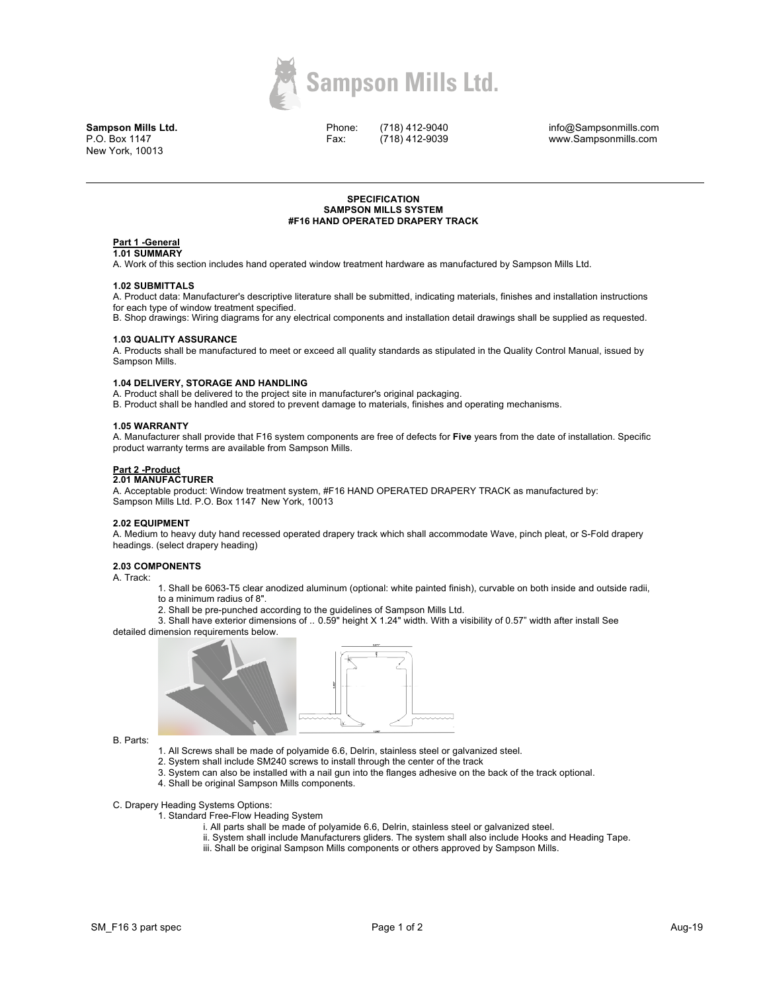

**Sampson Mills Ltd.** P.O. Box 1147 New York, 10013

Phone: Fax:

(718) 412-9040 (718) 412-9039

info@Sampsonmills.com www.Sampsonmills.com

## **SPECIFICATION SAMPSON MILLS SYSTEM #F16 HAND OPERATED DRAPERY TRACK**

# **Part 1 -General**

**1.01 SUMMARY** 

A. Work of this section includes hand operated window treatment hardware as manufactured by Sampson Mills Ltd.

#### **1.02 SUBMITTALS**

A. Product data: Manufacturer's descriptive literature shall be submitted, indicating materials, finishes and installation instructions for each type of window treatment specified.

B. Shop drawings: Wiring diagrams for any electrical components and installation detail drawings shall be supplied as requested.

## **1.03 QUALITY ASSURANCE**

A. Products shall be manufactured to meet or exceed all quality standards as stipulated in the Quality Control Manual, issued by Sampson Mills.

## **1.04 DELIVERY, STORAGE AND HANDLING**

A. Product shall be delivered to the project site in manufacturer's original packaging.

B. Product shall be handled and stored to prevent damage to materials, finishes and operating mechanisms.

## **1.05 WARRANTY**

A. Manufacturer shall provide that F16 system components are free of defects for **Five** years from the date of installation. Specific product warranty terms are available from Sampson Mills.

## **Part 2 -Product**

# **2.01 MANUFACTURER**

A. Acceptable product: Window treatment system, #F16 HAND OPERATED DRAPERY TRACK as manufactured by: Sampson Mills Ltd. P.O. Box 1147 New York, 10013

### **2.02 EQUIPMENT**

A. Medium to heavy duty hand recessed operated drapery track which shall accommodate Wave, pinch pleat, or S-Fold drapery headings. (select drapery heading)

# **2.03 COMPONENTS**

A. Track:

- 1. Shall be 6063-T5 clear anodized aluminum (optional: white painted finish), curvable on both inside and outside radii,
- to a minimum radius of 8".
- 2. Shall be pre-punched according to the guidelines of Sampson Mills Ltd.

3. Shall have exterior dimensions of .. 0.59" height X 1.24" width. With a visibility of 0.57" width after install See detailed dimension requirements below.



B. Parts:

- 1. All Screws shall be made of polyamide 6.6, Delrin, stainless steel or galvanized steel.
- 2. System shall include SM240 screws to install through the center of the track
- 3. System can also be installed with a nail gun into the flanges adhesive on the back of the track optional.
- 4. Shall be original Sampson Mills components.
- C. Drapery Heading Systems Options:
	- 1. Standard Free-Flow Heading System
		- i. All parts shall be made of polyamide 6.6, Delrin, stainless steel or galvanized steel.
		- ii. System shall include Manufacturers gliders. The system shall also include Hooks and Heading Tape.
		- iii. Shall be original Sampson Mills components or others approved by Sampson Mills.